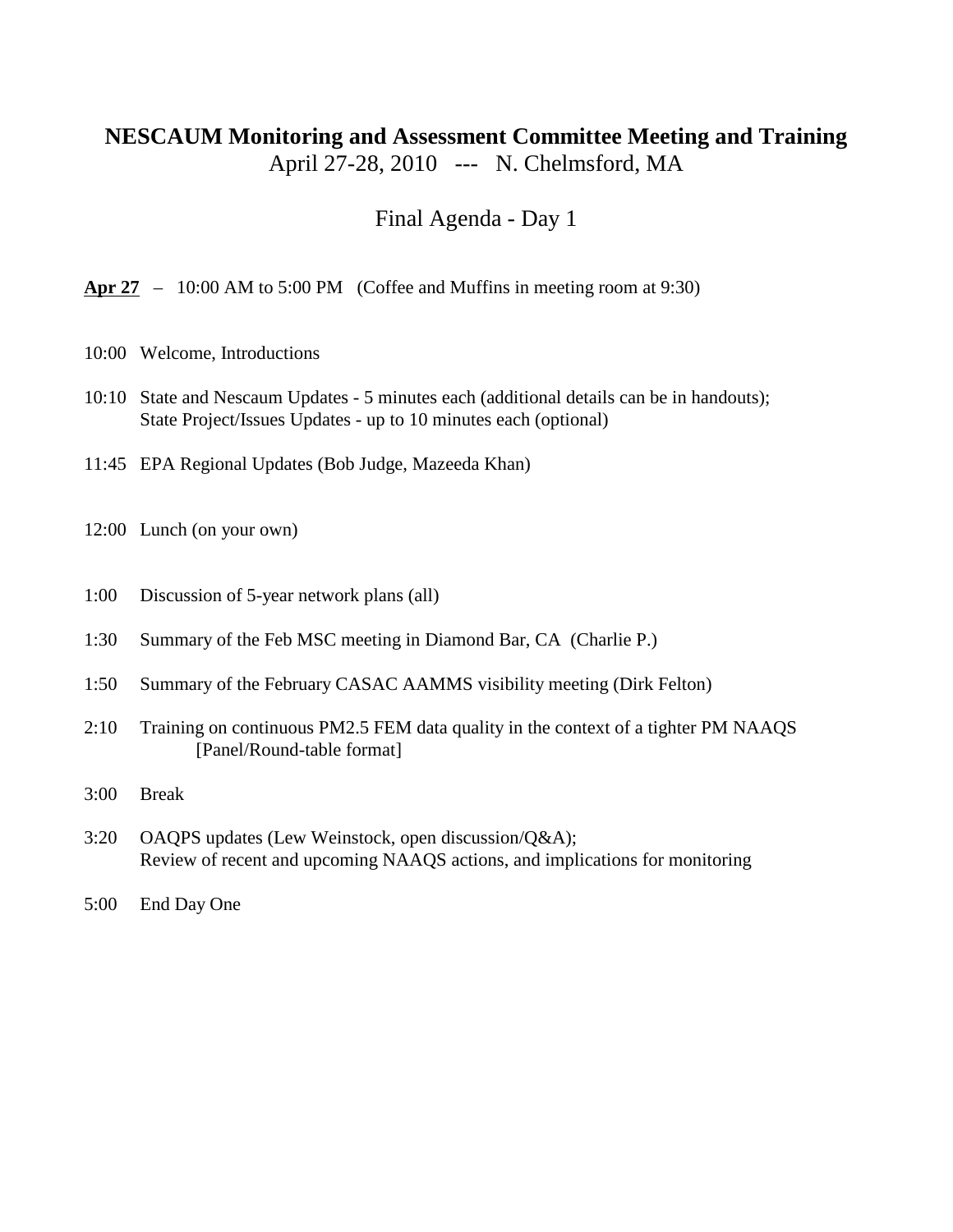## **NESCAUM Monitoring and Assessment Committee Meeting and Training** April 27-28, 2010 --- N. Chelmsford, MA

Final Agenda - Day 1

**Apr 27** – 10:00 AM to 5:00 PM (Coffee and Muffins in meeting room at 9:30)

- 10:00 Welcome, Introductions
- 10:10 State and Nescaum Updates 5 minutes each (additional details can be in handouts); State Project/Issues Updates - up to 10 minutes each (optional)
- 11:45 EPA Regional Updates (Bob Judge, Mazeeda Khan)
- 12:00 Lunch (on your own)
- 1:00 Discussion of 5-year network plans (all)
- 1:30 Summary of the Feb MSC meeting in Diamond Bar, CA (Charlie P.)
- 1:50 Summary of the February CASAC AAMMS visibility meeting (Dirk Felton)
- 2:10 Training on continuous PM2.5 FEM data quality in the context of a tighter PM NAAQS [Panel/Round-table format]
- 3:00 Break
- 3:20 OAQPS updates (Lew Weinstock, open discussion/Q&A); Review of recent and upcoming NAAQS actions, and implications for monitoring
- 5:00 End Day One